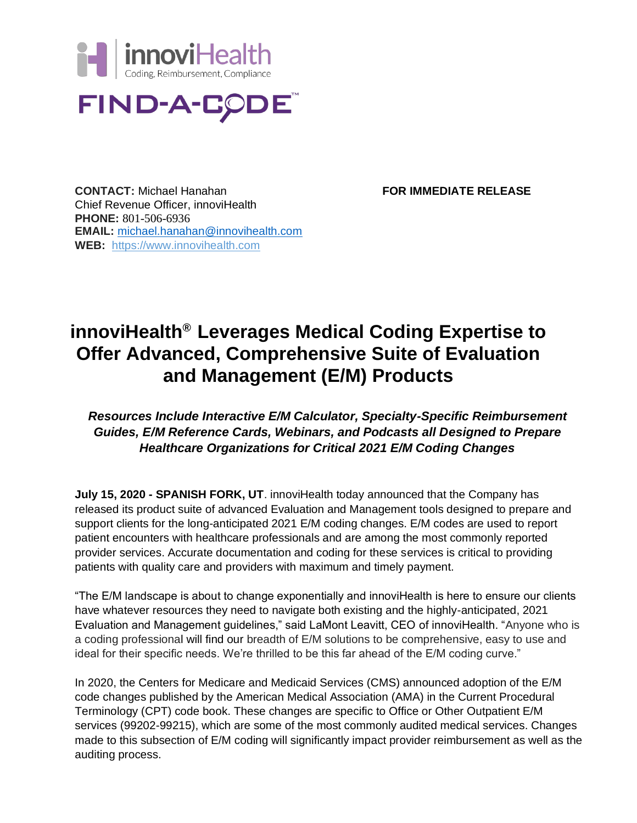



**CONTACT:** Michael Hanahan **FOR IMMEDIATE RELEASE** Chief Revenue Officer, innoviHealth **PHONE:** 801-506-6936 **EMAIL:** [michael.hanahan@innovihealth.com](mailto:michael.hanahan@innovihealth.com)  **WEB:** [https://www.innovihealth.com](https://www.innovihealth.com/)

## **innoviHealth® Leverages Medical Coding Expertise to Offer Advanced, Comprehensive Suite of Evaluation and Management (E/M) Products**

## *Resources Include Interactive E/M Calculator, Specialty-Specific Reimbursement Guides, E/M Reference Cards, Webinars, and Podcasts all Designed to Prepare Healthcare Organizations for Critical 2021 E/M Coding Changes*

**July 15, 2020 - SPANISH FORK, UT.** innoviHealth today announced that the Company has released its product suite of advanced Evaluation and Management tools designed to prepare and support clients for the long-anticipated 2021 E/M coding changes. E/M codes are used to report patient encounters with healthcare professionals and are among the most commonly reported provider services. Accurate documentation and coding for these services is critical to providing patients with quality care and providers with maximum and timely payment.

"The E/M landscape is about to change exponentially and innoviHealth is here to ensure our clients have whatever resources they need to navigate both existing and the highly-anticipated, 2021 Evaluation and Management guidelines," said LaMont Leavitt, CEO of innoviHealth. "Anyone who is a coding professional will find our breadth of E/M solutions to be comprehensive, easy to use and ideal for their specific needs. We're thrilled to be this far ahead of the E/M coding curve."

In 2020, the Centers for Medicare and Medicaid Services (CMS) announced adoption of the E/M code changes published by the American Medical Association (AMA) in the Current Procedural Terminology (CPT) code book. These changes are specific to Office or Other Outpatient E/M services (99202-99215), which are some of the most commonly audited medical services. Changes made to this subsection of E/M coding will significantly impact provider reimbursement as well as the auditing process.